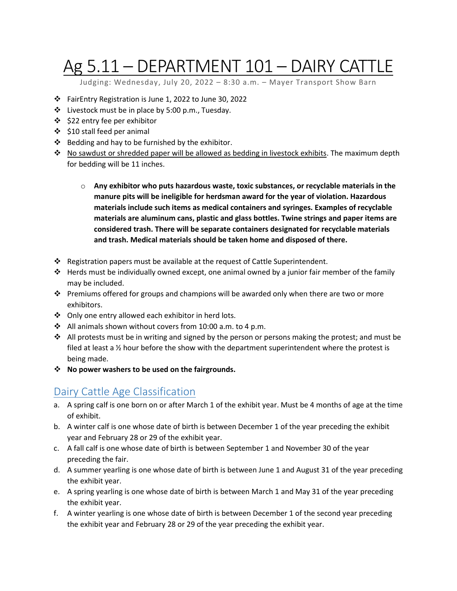# Ag 5.11 – DEPARTMENT 101 – DAIRY CATTLE

Judging: Wednesday, July 20, 2022 – 8:30 a.m. – Mayer Transport Show Barn

- FairEntry Registration is June 1, 2022 to June 30, 2022
- \* Livestock must be in place by 5:00 p.m., Tuesday.
- ❖ \$22 entry fee per exhibitor
- $\div$  \$10 stall feed per animal
- $\div$  Bedding and hay to be furnished by the exhibitor.
- $\cdot$  No sawdust or shredded paper will be allowed as bedding in livestock exhibits. The maximum depth for bedding will be 11 inches.
	- o **Any exhibitor who puts hazardous waste, toxic substances, or recyclable materials in the manure pits will be ineligible for herdsman award for the year of violation. Hazardous materials include such items as medical containers and syringes. Examples of recyclable materials are aluminum cans, plastic and glass bottles. Twine strings and paper items are considered trash. There will be separate containers designated for recyclable materials and trash. Medical materials should be taken home and disposed of there.**
- Registration papers must be available at the request of Cattle Superintendent.
- $\div$  Herds must be individually owned except, one animal owned by a junior fair member of the family may be included.
- Premiums offered for groups and champions will be awarded only when there are two or more exhibitors.
- Only one entry allowed each exhibitor in herd lots.
- All animals shown without covers from 10:00 a.m. to 4 p.m.
- $\cdot \cdot$  All protests must be in writing and signed by the person or persons making the protest; and must be filed at least a  $\frac{1}{2}$  hour before the show with the department superintendent where the protest is being made.
- **No power washers to be used on the fairgrounds.**

#### Dairy Cattle Age Classification

- a. A spring calf is one born on or after March 1 of the exhibit year. Must be 4 months of age at the time of exhibit.
- b. A winter calf is one whose date of birth is between December 1 of the year preceding the exhibit year and February 28 or 29 of the exhibit year.
- c. A fall calf is one whose date of birth is between September 1 and November 30 of the year preceding the fair.
- d. A summer yearling is one whose date of birth is between June 1 and August 31 of the year preceding the exhibit year.
- e. A spring yearling is one whose date of birth is between March 1 and May 31 of the year preceding the exhibit year.
- f. A winter yearling is one whose date of birth is between December 1 of the second year preceding the exhibit year and February 28 or 29 of the year preceding the exhibit year.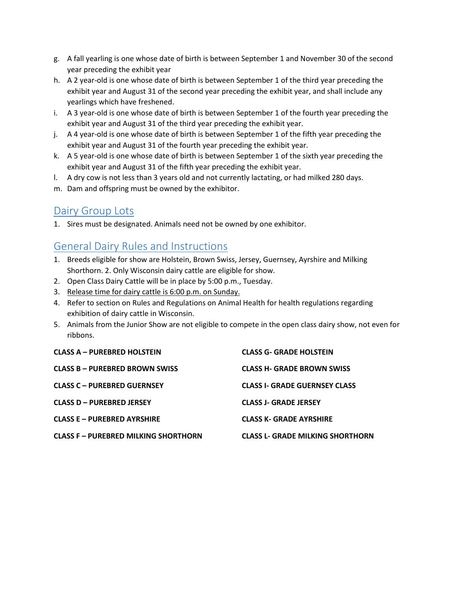- g. A fall yearling is one whose date of birth is between September 1 and November 30 of the second year preceding the exhibit year
- h. A 2 year-old is one whose date of birth is between September 1 of the third year preceding the exhibit year and August 31 of the second year preceding the exhibit year, and shall include any yearlings which have freshened.
- i. A 3 year-old is one whose date of birth is between September 1 of the fourth year preceding the exhibit year and August 31 of the third year preceding the exhibit year.
- j. A 4 year-old is one whose date of birth is between September 1 of the fifth year preceding the exhibit year and August 31 of the fourth year preceding the exhibit year.
- k. A 5 year-old is one whose date of birth is between September 1 of the sixth year preceding the exhibit year and August 31 of the fifth year preceding the exhibit year.
- l. A dry cow is not less than 3 years old and not currently lactating, or had milked 280 days.
- m. Dam and offspring must be owned by the exhibitor.

### Dairy Group Lots

1. Sires must be designated. Animals need not be owned by one exhibitor.

### General Dairy Rules and Instructions

- 1. Breeds eligible for show are Holstein, Brown Swiss, Jersey, Guernsey, Ayrshire and Milking Shorthorn. 2. Only Wisconsin dairy cattle are eligible for show.
- 2. Open Class Dairy Cattle will be in place by 5:00 p.m., Tuesday.
- 3. Release time for dairy cattle is 6:00 p.m. on Sunday.
- 4. Refer to section on Rules and Regulations on Animal Health for health regulations regarding exhibition of dairy cattle in Wisconsin.
- 5. Animals from the Junior Show are not eligible to compete in the open class dairy show, not even for ribbons.

| <b>CLASS A - PUREBRED HOLSTEIN</b>          | <b>CLASS G- GRADE HOLSTEIN</b>          |
|---------------------------------------------|-----------------------------------------|
| CLASS B – PUREBRED BROWN SWISS              | <b>CLASS H- GRADE BROWN SWISS</b>       |
| <b>CLASS C - PUREBRED GUERNSEY</b>          | <b>CLASS I- GRADE GUERNSEY CLASS</b>    |
| CLASS D - PUREBRED JERSEY                   | <b>CLASS J- GRADE JERSEY</b>            |
| <b>CLASS E – PUREBRED AYRSHIRE</b>          | <b>CLASS K- GRADE AYRSHIRE</b>          |
| <b>CLASS F - PUREBRED MILKING SHORTHORN</b> | <b>CLASS L- GRADE MILKING SHORTHORN</b> |